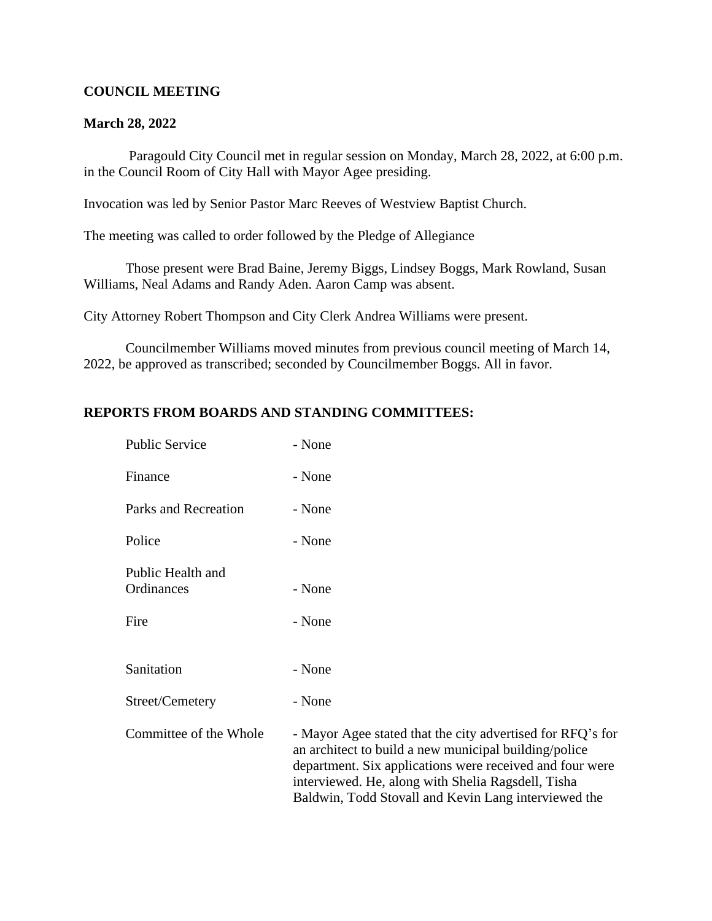### **COUNCIL MEETING**

### **March 28, 2022**

 Paragould City Council met in regular session on Monday, March 28, 2022, at 6:00 p.m. in the Council Room of City Hall with Mayor Agee presiding.

Invocation was led by Senior Pastor Marc Reeves of Westview Baptist Church.

The meeting was called to order followed by the Pledge of Allegiance

Those present were Brad Baine, Jeremy Biggs, Lindsey Boggs, Mark Rowland, Susan Williams, Neal Adams and Randy Aden. Aaron Camp was absent.

City Attorney Robert Thompson and City Clerk Andrea Williams were present.

Councilmember Williams moved minutes from previous council meeting of March 14, 2022, be approved as transcribed; seconded by Councilmember Boggs. All in favor.

## **REPORTS FROM BOARDS AND STANDING COMMITTEES:**

| <b>Public Service</b>           | - None                                                                                                                                                                                                                                                                                        |
|---------------------------------|-----------------------------------------------------------------------------------------------------------------------------------------------------------------------------------------------------------------------------------------------------------------------------------------------|
| Finance                         | - None                                                                                                                                                                                                                                                                                        |
| Parks and Recreation            | - None                                                                                                                                                                                                                                                                                        |
| Police                          | - None                                                                                                                                                                                                                                                                                        |
| Public Health and<br>Ordinances | - None                                                                                                                                                                                                                                                                                        |
| Fire                            | - None                                                                                                                                                                                                                                                                                        |
| Sanitation                      | - None                                                                                                                                                                                                                                                                                        |
| Street/Cemetery                 | - None                                                                                                                                                                                                                                                                                        |
| Committee of the Whole          | - Mayor Agee stated that the city advertised for RFQ's for<br>an architect to build a new municipal building/police<br>department. Six applications were received and four were<br>interviewed. He, along with Shelia Ragsdell, Tisha<br>Baldwin, Todd Stovall and Kevin Lang interviewed the |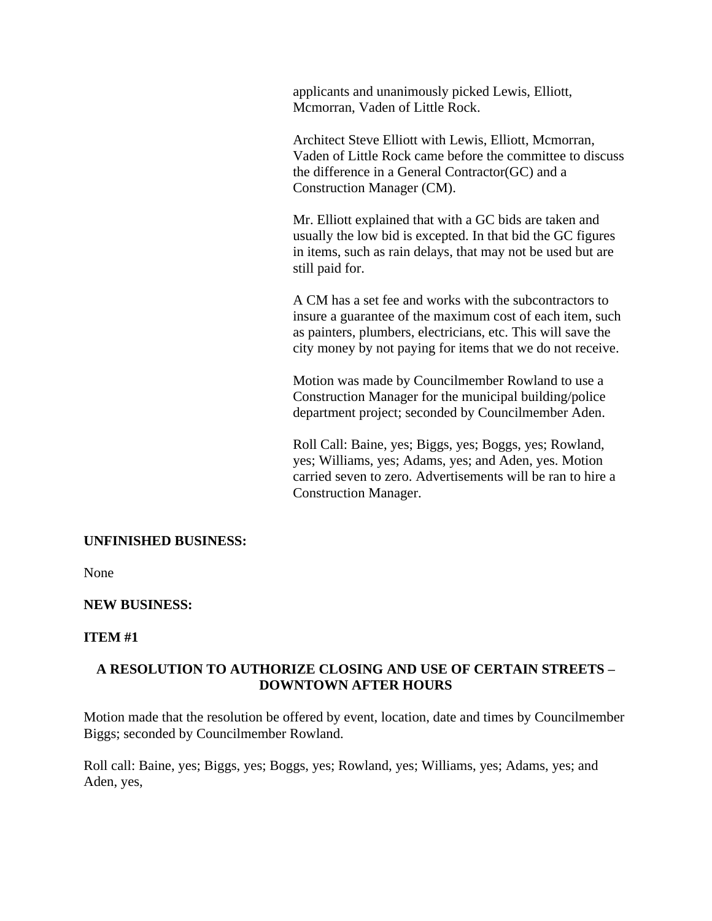applicants and unanimously picked Lewis, Elliott, Mcmorran, Vaden of Little Rock.

Architect Steve Elliott with Lewis, Elliott, Mcmorran, Vaden of Little Rock came before the committee to discuss the difference in a General Contractor(GC) and a Construction Manager (CM).

Mr. Elliott explained that with a GC bids are taken and usually the low bid is excepted. In that bid the GC figures in items, such as rain delays, that may not be used but are still paid for.

A CM has a set fee and works with the subcontractors to insure a guarantee of the maximum cost of each item, such as painters, plumbers, electricians, etc. This will save the city money by not paying for items that we do not receive.

Motion was made by Councilmember Rowland to use a Construction Manager for the municipal building/police department project; seconded by Councilmember Aden.

Roll Call: Baine, yes; Biggs, yes; Boggs, yes; Rowland, yes; Williams, yes; Adams, yes; and Aden, yes. Motion carried seven to zero. Advertisements will be ran to hire a Construction Manager.

### **UNFINISHED BUSINESS:**

None

### **NEW BUSINESS:**

### **ITEM #1**

## **A RESOLUTION TO AUTHORIZE CLOSING AND USE OF CERTAIN STREETS – DOWNTOWN AFTER HOURS**

Motion made that the resolution be offered by event, location, date and times by Councilmember Biggs; seconded by Councilmember Rowland.

Roll call: Baine, yes; Biggs, yes; Boggs, yes; Rowland, yes; Williams, yes; Adams, yes; and Aden, yes,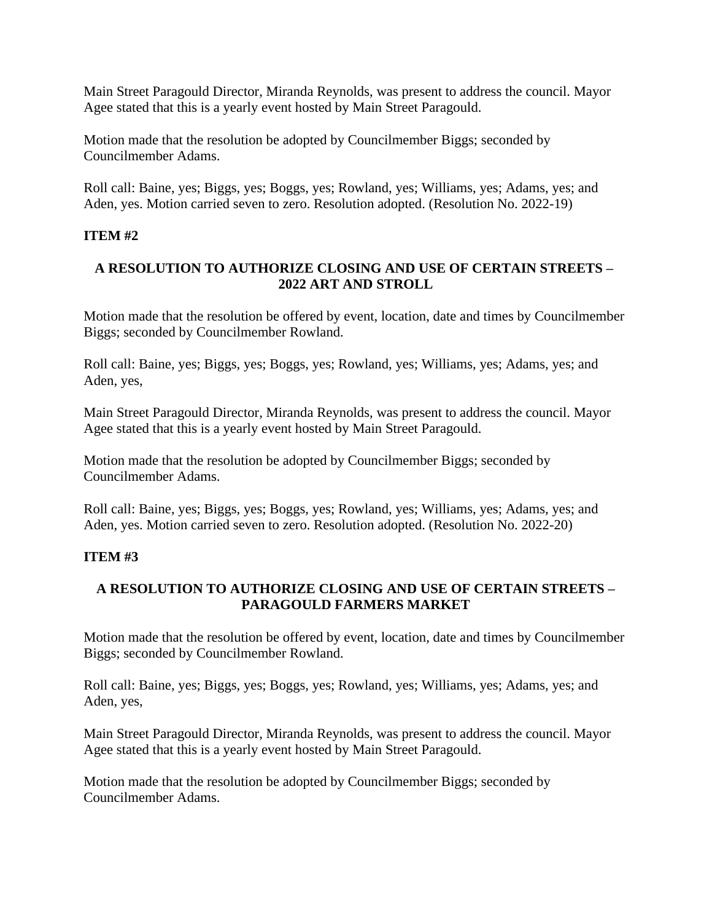Main Street Paragould Director, Miranda Reynolds, was present to address the council. Mayor Agee stated that this is a yearly event hosted by Main Street Paragould.

Motion made that the resolution be adopted by Councilmember Biggs; seconded by Councilmember Adams.

Roll call: Baine, yes; Biggs, yes; Boggs, yes; Rowland, yes; Williams, yes; Adams, yes; and Aden, yes. Motion carried seven to zero. Resolution adopted. (Resolution No. 2022-19)

# **ITEM #2**

# **A RESOLUTION TO AUTHORIZE CLOSING AND USE OF CERTAIN STREETS – 2022 ART AND STROLL**

Motion made that the resolution be offered by event, location, date and times by Councilmember Biggs; seconded by Councilmember Rowland.

Roll call: Baine, yes; Biggs, yes; Boggs, yes; Rowland, yes; Williams, yes; Adams, yes; and Aden, yes,

Main Street Paragould Director, Miranda Reynolds, was present to address the council. Mayor Agee stated that this is a yearly event hosted by Main Street Paragould.

Motion made that the resolution be adopted by Councilmember Biggs; seconded by Councilmember Adams.

Roll call: Baine, yes; Biggs, yes; Boggs, yes; Rowland, yes; Williams, yes; Adams, yes; and Aden, yes. Motion carried seven to zero. Resolution adopted. (Resolution No. 2022-20)

# **ITEM #3**

# **A RESOLUTION TO AUTHORIZE CLOSING AND USE OF CERTAIN STREETS – PARAGOULD FARMERS MARKET**

Motion made that the resolution be offered by event, location, date and times by Councilmember Biggs; seconded by Councilmember Rowland.

Roll call: Baine, yes; Biggs, yes; Boggs, yes; Rowland, yes; Williams, yes; Adams, yes; and Aden, yes,

Main Street Paragould Director, Miranda Reynolds, was present to address the council. Mayor Agee stated that this is a yearly event hosted by Main Street Paragould.

Motion made that the resolution be adopted by Councilmember Biggs; seconded by Councilmember Adams.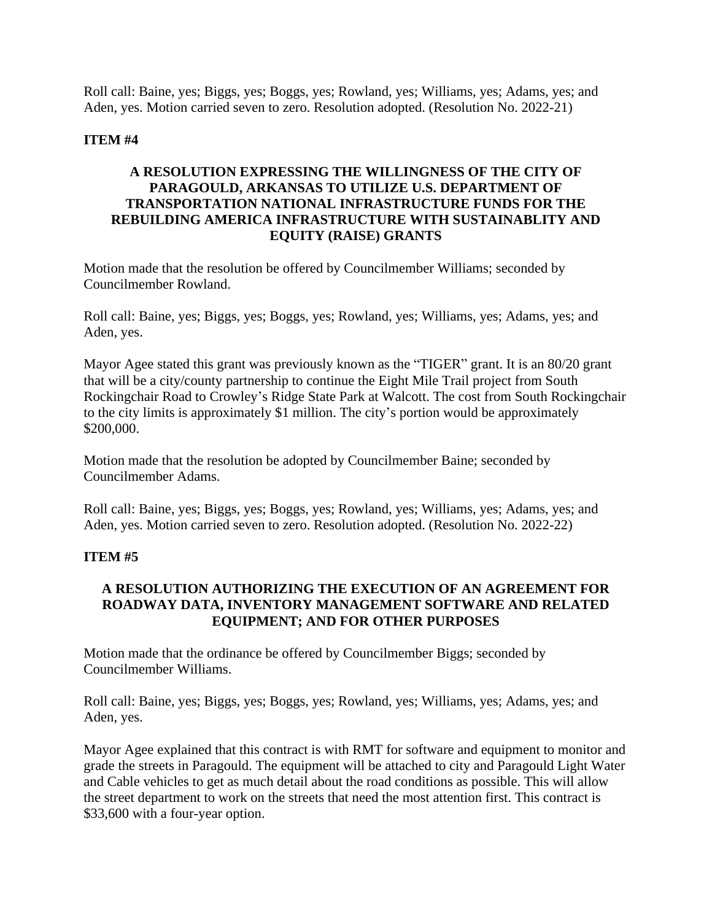Roll call: Baine, yes; Biggs, yes; Boggs, yes; Rowland, yes; Williams, yes; Adams, yes; and Aden, yes. Motion carried seven to zero. Resolution adopted. (Resolution No. 2022-21)

### **ITEM #4**

# **A RESOLUTION EXPRESSING THE WILLINGNESS OF THE CITY OF PARAGOULD, ARKANSAS TO UTILIZE U.S. DEPARTMENT OF TRANSPORTATION NATIONAL INFRASTRUCTURE FUNDS FOR THE REBUILDING AMERICA INFRASTRUCTURE WITH SUSTAINABLITY AND EQUITY (RAISE) GRANTS**

Motion made that the resolution be offered by Councilmember Williams; seconded by Councilmember Rowland.

Roll call: Baine, yes; Biggs, yes; Boggs, yes; Rowland, yes; Williams, yes; Adams, yes; and Aden, yes.

Mayor Agee stated this grant was previously known as the "TIGER" grant. It is an 80/20 grant that will be a city/county partnership to continue the Eight Mile Trail project from South Rockingchair Road to Crowley's Ridge State Park at Walcott. The cost from South Rockingchair to the city limits is approximately \$1 million. The city's portion would be approximately \$200,000.

Motion made that the resolution be adopted by Councilmember Baine; seconded by Councilmember Adams.

Roll call: Baine, yes; Biggs, yes; Boggs, yes; Rowland, yes; Williams, yes; Adams, yes; and Aden, yes. Motion carried seven to zero. Resolution adopted. (Resolution No. 2022-22)

# **ITEM #5**

# **A RESOLUTION AUTHORIZING THE EXECUTION OF AN AGREEMENT FOR ROADWAY DATA, INVENTORY MANAGEMENT SOFTWARE AND RELATED EQUIPMENT; AND FOR OTHER PURPOSES**

Motion made that the ordinance be offered by Councilmember Biggs; seconded by Councilmember Williams.

Roll call: Baine, yes; Biggs, yes; Boggs, yes; Rowland, yes; Williams, yes; Adams, yes; and Aden, yes.

Mayor Agee explained that this contract is with RMT for software and equipment to monitor and grade the streets in Paragould. The equipment will be attached to city and Paragould Light Water and Cable vehicles to get as much detail about the road conditions as possible. This will allow the street department to work on the streets that need the most attention first. This contract is \$33,600 with a four-year option.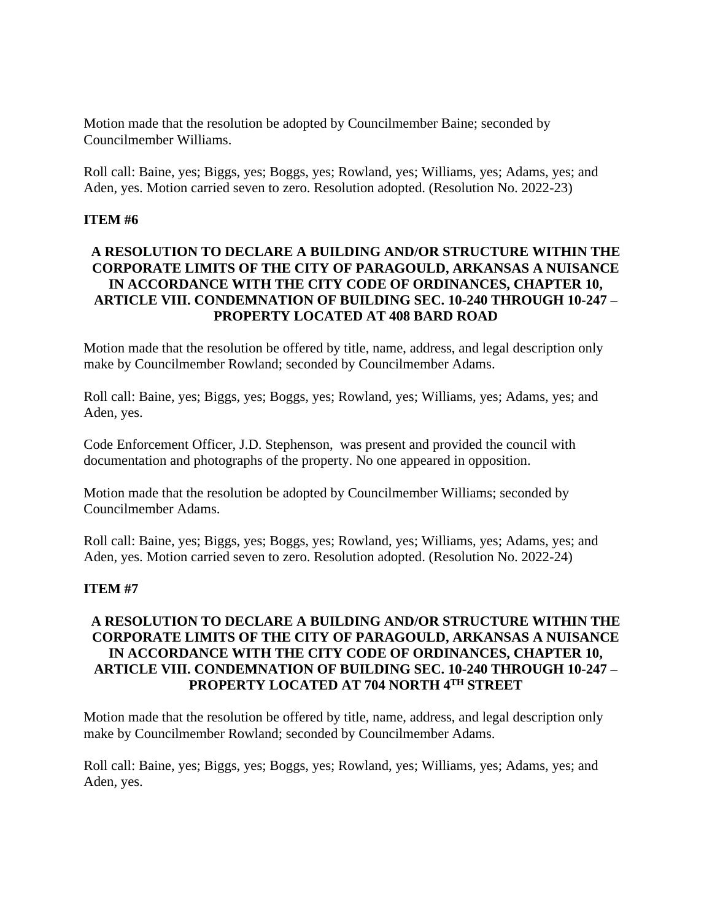Motion made that the resolution be adopted by Councilmember Baine; seconded by Councilmember Williams.

Roll call: Baine, yes; Biggs, yes; Boggs, yes; Rowland, yes; Williams, yes; Adams, yes; and Aden, yes. Motion carried seven to zero. Resolution adopted. (Resolution No. 2022-23)

### **ITEM #6**

# **A RESOLUTION TO DECLARE A BUILDING AND/OR STRUCTURE WITHIN THE CORPORATE LIMITS OF THE CITY OF PARAGOULD, ARKANSAS A NUISANCE IN ACCORDANCE WITH THE CITY CODE OF ORDINANCES, CHAPTER 10, ARTICLE VIII. CONDEMNATION OF BUILDING SEC. 10-240 THROUGH 10-247 – PROPERTY LOCATED AT 408 BARD ROAD**

Motion made that the resolution be offered by title, name, address, and legal description only make by Councilmember Rowland; seconded by Councilmember Adams.

Roll call: Baine, yes; Biggs, yes; Boggs, yes; Rowland, yes; Williams, yes; Adams, yes; and Aden, yes.

Code Enforcement Officer, J.D. Stephenson, was present and provided the council with documentation and photographs of the property. No one appeared in opposition.

Motion made that the resolution be adopted by Councilmember Williams; seconded by Councilmember Adams.

Roll call: Baine, yes; Biggs, yes; Boggs, yes; Rowland, yes; Williams, yes; Adams, yes; and Aden, yes. Motion carried seven to zero. Resolution adopted. (Resolution No. 2022-24)

### **ITEM #7**

# **A RESOLUTION TO DECLARE A BUILDING AND/OR STRUCTURE WITHIN THE CORPORATE LIMITS OF THE CITY OF PARAGOULD, ARKANSAS A NUISANCE IN ACCORDANCE WITH THE CITY CODE OF ORDINANCES, CHAPTER 10, ARTICLE VIII. CONDEMNATION OF BUILDING SEC. 10-240 THROUGH 10-247 – PROPERTY LOCATED AT 704 NORTH 4TH STREET**

Motion made that the resolution be offered by title, name, address, and legal description only make by Councilmember Rowland; seconded by Councilmember Adams.

Roll call: Baine, yes; Biggs, yes; Boggs, yes; Rowland, yes; Williams, yes; Adams, yes; and Aden, yes.